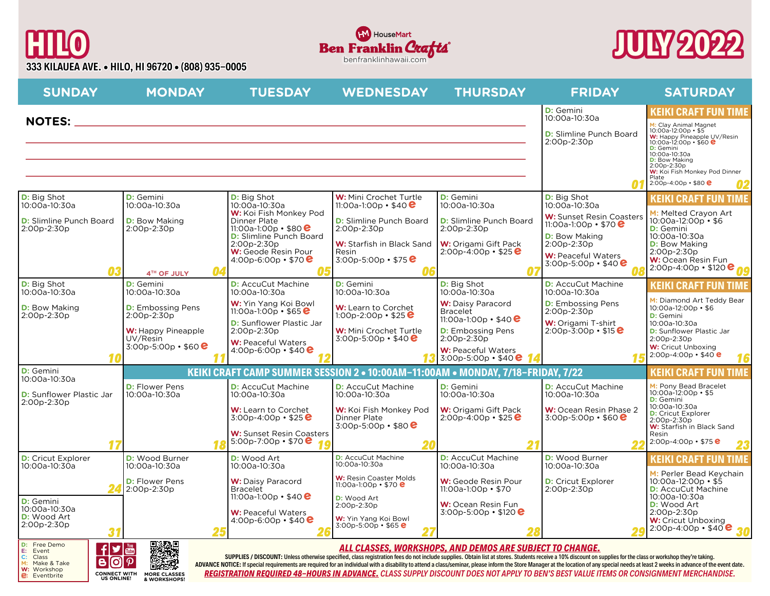

**M:** Make & Take W: Workshop<br>**C:** Eventbrite





| <b>SUNDAY</b>                                                                                                        | <b>MONDAY</b>                                                                                                                               | <b>TUESDAY</b>                                                                                                                                                                                                                                          | <b>WEDNESDAY</b>                                                                                                                                                                                            | <b>THURSDAY</b>                                                                                                                                                                                             | <b>FRIDAY</b>                                                                                                                                                                        | <b>SATURDAY</b>                                                                                                                                                                                                                                                                                    |
|----------------------------------------------------------------------------------------------------------------------|---------------------------------------------------------------------------------------------------------------------------------------------|---------------------------------------------------------------------------------------------------------------------------------------------------------------------------------------------------------------------------------------------------------|-------------------------------------------------------------------------------------------------------------------------------------------------------------------------------------------------------------|-------------------------------------------------------------------------------------------------------------------------------------------------------------------------------------------------------------|--------------------------------------------------------------------------------------------------------------------------------------------------------------------------------------|----------------------------------------------------------------------------------------------------------------------------------------------------------------------------------------------------------------------------------------------------------------------------------------------------|
| <b>NOTES:</b>                                                                                                        |                                                                                                                                             |                                                                                                                                                                                                                                                         |                                                                                                                                                                                                             |                                                                                                                                                                                                             | <b>D:</b> Gemini<br>10:00a-10:30a<br><b>D:</b> Slimline Punch Board<br>2:00p-2:30p                                                                                                   | <b>KEIKI CRAFT FUN TIME</b><br>M: Clay Animal Magnet<br>10:00a-12:00p • \$5<br>W: Happy Pineapple UV/Resin<br>10:00a-12:00p • \$60<br><b>D:</b> Gemini<br>10:00a-10:30a<br><b>D:</b> Bow Making<br>2:00p-2:30p<br>2:00p-2:30p<br>W: Koi Fish Monkey Pod Dinner<br>Plate<br>$2:00p-4:00p \cdot $80$ |
| <b>D:</b> Big Shot<br>10:00a-10:30a<br><b>D:</b> Slimline Punch Board<br>2:00p-2:30p                                 | <b>D:</b> Gemini<br>10:00a-10:30a<br><b>D:</b> Bow Making<br>2:00p-2:30p<br>4TH OF JULY                                                     | <b>D:</b> Big Shot<br>10:00a-10:30a<br>W: Koi Fish Monkey Pod<br>Dinner Plate<br>11:00a-1:00p • \$80 $e$<br><b>D:</b> Slimline Punch Board<br>$2:00p - 2:30p$<br><b>W:</b> Geode Resin Pour<br>4:00p-6:00p • \$70 $e$                                   | W: Mini Crochet Turtle<br>11:00a-1:00p • \$40 $\bullet$<br><b>D:</b> Slimline Punch Board<br>2:00p-2:30p<br>W: Starfish in Black Sand<br>Resin<br>3:00p-5:00p • \$75 $e$                                    | <b>D:</b> Gemini<br>10:00a-10:30a<br><b>D:</b> Slimline Punch Board<br>2:00p-2:30p<br><b>W:</b> Origami Gift Pack<br>$2:00p - 4:00p \cdot $25$                                                              | <b>D:</b> Big Shot<br>10:00a-10:30a<br>W: Sunset Resin Coasters<br>11:00a-1:00p • \$70 $e$<br><b>D:</b> Bow Making<br>2:00p-2:30p<br>W: Peaceful Waters<br>$3:00p - 5:00p \cdot $40$ | <b>KEIKI CRAFT FUN TIME</b><br>M: Melted Crayon Art<br>10:00a-12:00p · \$6<br><b>D:</b> Gemini<br>10:00a-10:30a<br><b>D:</b> Bow Making<br>2:00p-2:30p<br>W: Ocean Resin Fun<br>2:00p-4:00p · \$120 <b>e</b> ng                                                                                    |
| <b>D:</b> Big Shot<br>10:00a-10:30a<br><b>D:</b> Bow Making<br>2:00p-2:30p                                           | D: Gemini<br>10:00a-10:30a<br><b>D:</b> Embossing Pens<br>2:00p-2:30p<br><b>W:</b> Happy Pineapple<br>UV/Resin<br>$3:00p - 5:00p \cdot $60$ | <b>D:</b> AccuCut Machine<br>10:00a-10:30a<br>W: Yin Yang Koi Bowl<br>11:00a-1:00p • \$65 $e$<br><b>D:</b> Sunflower Plastic Jar<br>2:00p-2:30p<br><b>W:</b> Peaceful Waters<br>4:00p-6:00p • \$40 $e$                                                  | D: Gemini<br>10:00a-10:30a<br>W: Learn to Corchet<br>1:00p-2:00p $\cdot$ \$25 $\cdot$<br>W: Mini Crochet Turtle<br>$3:00p - 5:00p \cdot $40$                                                                | <b>D:</b> Big Shot<br>10:00a-10:30a<br><b>W:</b> Daisy Paracord<br>Bracelet<br>11:00a-1:00p • \$40 $e$<br><b>D:</b> Embossing Pens<br>2:00p-2:30p<br><b>W: Peaceful Waters</b><br>$3:00p - 5:00p \cdot $40$ | <b>D:</b> AccuCut Machine<br>10:00a-10:30a<br><b>D:</b> Embossing Pens<br>2:00p-2:30p<br>W: Origami T-shirt<br>$2:00p - 3:00p - $15$                                                 | <b>KEIKI CRAFT FUN TIME</b><br>M: Diamond Art Teddy Bear<br>10:00a-12:00p · \$6<br>D: Gemini<br>10:00a-10:30a<br><b>D:</b> Sunflower Plastic Jar<br>2:00p-2:30p<br><b>W:</b> Cricut Unboxing<br>$2:00p-4:00p \cdot $40e$<br>16                                                                     |
| <b>D:</b> Gemini<br>10:00a-10:30a<br><b>D:</b> Sunflower Plastic Jar<br>2:00p-2:30p                                  | <b>D:</b> Flower Pens<br>10:00a-10:30a                                                                                                      | KEIKI CRAFT CAMP SUMMER SESSION 2 . 10:00AM-11:00AM . MONDAY, 7/18-FRIDAY, 7/22<br><b>D:</b> AccuCut Machine<br>10:00a-10:30a<br>W: Learn to Corchet<br>3:00p-4:00p • \$25 $\bullet$<br><b>W:</b> Sunset Resin Coasters<br>5:00p-7:00p • \$70 $\bullet$ | <b>D:</b> AccuCut Machine<br>10:00a-10:30a<br>W: Koi Fish Monkey Pod<br>Dinner Plate<br>$3:00p - 5:00p \cdot $80$                                                                                           | <b>D:</b> Gemini<br>10:00a-10:30a<br>W: Origami Gift Pack<br>$2:00p - 4:00p \cdot $25$                                                                                                                      | <b>D:</b> AccuCut Machine<br>10:00a-10:30a<br>W: Ocean Resin Phase 2<br>$3:00p - 5:00p \cdot $60$<br>ŋ.                                                                              | <b>KEIKI CRAFT FUN TIME</b><br>M: Pony Bead Bracelet<br>10:00a-12:00p · \$5<br>D: Gemini<br>10:00a-10:30a<br><b>D:</b> Cricut Explorer<br>$2:00p-2:30p$<br>W: Starfish in Black Sand<br>Resin<br>$2:00p-4:00p \cdot $75e$                                                                          |
| <b>D:</b> Cricut Explorer<br>10:00a-10:30a<br><b>D:</b> Gemini<br>10:00a-10:30a<br><b>D:</b> Wood Art<br>2:00p-2:30p | <b>D:</b> Wood Burner<br>10:00a-10:30a<br><b>D:</b> Flower Pens<br>2:00p-2:30p                                                              | <b>D:</b> Wood Art<br>10:00a-10:30a<br>W: Daisy Paracord<br><b>Bracelet</b><br>11:00a-1:00p • \$40 $\bullet$<br>W: Peaceful Waters<br>4:00p-6:00p • \$40 $e$                                                                                            | <b>D:</b> AccuCut Machine<br>10:00a-10:30a<br>W: Resin Coaster Molds<br>11:00a-1:00p $\cdot$ \$70 $\bullet$<br><b>D:</b> Wood Art<br>2:00p-2:30p<br>W: Yin Yang Koi Bowl<br>$3:00p - 5:00p \cdot $65 \cdot$ | <b>D:</b> AccuCut Machine<br>10:00a-10:30a<br><b>W:</b> Geode Resin Pour<br>$11:00a-1:00p$ • \$70<br><b>W:</b> Ocean Resin Fun<br>$3:00p - 5:00p \cdot $120$                                                | <b>D:</b> Wood Burner<br>10:00a-10:30a<br><b>D:</b> Cricut Explorer<br>2:00p-2:30p                                                                                                   | <b>KEIKI CRAFT FUN TIME</b><br>M: Perler Bead Keychain<br>$10:00a-12:00p \cdot $5$<br><b>D:</b> AccuCut Machine<br>10:00a-10:30a<br><b>D:</b> Wood Art<br>2:00p-2:30p<br><b>W:</b> Cricut Unboxing<br>$2:00p - 4:00p \cdot $40$                                                                    |

SUPPLIES / DISCOUNT: Unless otherwise specified, class registration fees do not include supplies. Obtain list at stores. Students receive a 10% discount on supplies for the class or workshop they're taking. ADVANCE NOTICE: If special requirements are required for an individual with a disability to attend a class/seminar, please inform the Store Manager at the location of any special needs at least 2 weeks in advance of the ev *REGISTRATION REQUIRED 48-HOURS IN ADVANCE. CLASS SUPPLY DISCOUNT DOES NOT APPLY TO BEN'S BEST VALUE ITEMS OR CONSIGNMENT MERCHANDISE.* **:** Eventbrite **CONNECT WITH US ONLINE! MORE CLASSES & WORKSHOPS!**